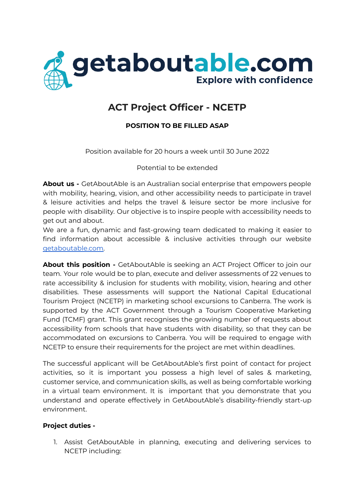

# **ACT Project Officer - NCETP**

## **POSITION TO BE FILLED ASAP**

Position available for 20 hours a week until 30 June 2022

Potential to be extended

**About us -** GetAboutAble is an Australian social enterprise that empowers people with mobility, hearing, vision, and other accessibility needs to participate in travel & leisure activities and helps the travel & leisure sector be more inclusive for people with disability. Our objective is to inspire people with accessibility needs to get out and about.

We are a fun, dynamic and fast-growing team dedicated to making it easier to find information about accessible & inclusive activities through our website [getaboutable.com.](https://www.getaboutable.com)

**About this position -** GetAboutAble is seeking an ACT Project Officer to join our team. Your role would be to plan, execute and deliver assessments of 22 venues to rate accessibility & inclusion for students with mobility, vision, hearing and other disabilities. These assessments will support the National Capital Educational Tourism Project (NCETP) in marketing school excursions to Canberra. The work is supported by the ACT Government through a Tourism Cooperative Marketing Fund (TCMF) grant. This grant recognises the growing number of requests about accessibility from schools that have students with disability, so that they can be accommodated on excursions to Canberra. You will be required to engage with NCETP to ensure their requirements for the project are met within deadlines.

The successful applicant will be GetAboutAble's first point of contact for project activities, so it is important you possess a high level of sales & marketing, customer service, and communication skills, as well as being comfortable working in a virtual team environment. It is important that you demonstrate that you understand and operate effectively in GetAboutAble's disability-friendly start-up environment.

## **Project duties -**

1. Assist GetAboutAble in planning, executing and delivering services to NCETP including: